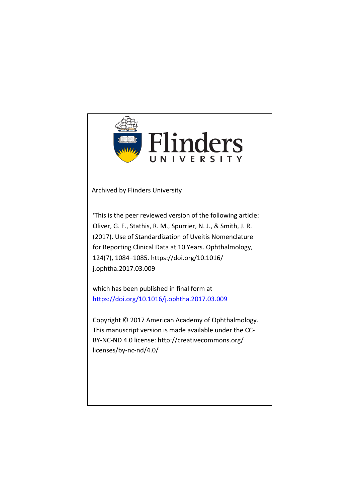

Archived by Flinders University

'This is the peer reviewed version of the following article: Oliver, G. F., Stathis, R. M., Spurrier, N. J., & Smith, J. R. (2017). Use of Standardization of Uveitis Nomenclature for Reporting Clinical Data at 10 Years. Ophthalmology, 124(7), 1084–1085. https://doi.org/10.1016/ j.ophtha.2017.03.009

which has been published in final form at https://doi.org/10.1016/j.ophtha.2017.03.009

Copyright © 2017 American Academy of Ophthalmology. This manuscript version is made available under the CC-BY-NC-ND 4.0 license: http://creativecommons.org/ licenses/by-nc-nd/4.0/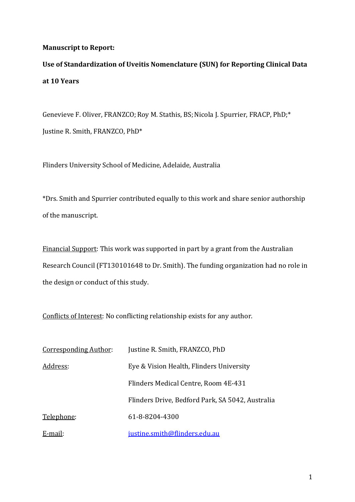## **Manuscript to Report:**

**Use of Standardization of Uveitis Nomenclature (SUN) for Reporting Clinical Data at 10 Years**

Genevieve F. Oliver, FRANZCO; Roy M. Stathis, BS; Nicola J. Spurrier, FRACP, PhD;\* Justine R. Smith, FRANZCO, PhD\*

Flinders University School of Medicine, Adelaide, Australia

\*Drs. Smith and Spurrier contributed equally to this work and share senior authorship of the manuscript.

Financial Support: This work was supported in part by a grant from the Australian Research Council (FT130101648 to Dr. Smith). The funding organization had no role in the design or conduct of this study.

Conflicts of Interest: No conflicting relationship exists for any author.

| <b>Corresponding Author:</b> | Justine R. Smith, FRANZCO, PhD                   |
|------------------------------|--------------------------------------------------|
| Address:                     | Eye & Vision Health, Flinders University         |
|                              | Flinders Medical Centre, Room 4E-431             |
|                              | Flinders Drive, Bedford Park, SA 5042, Australia |
| Telephone:                   | 61-8-8204-4300                                   |
| E-mail:                      | justine.smith@flinders.edu.au                    |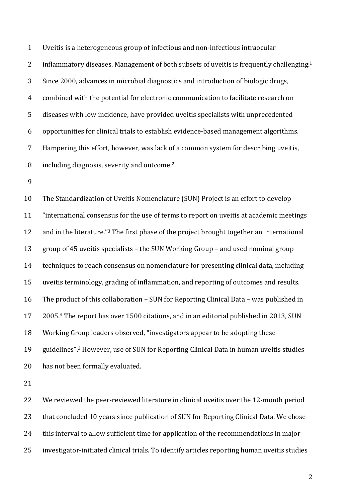1 Uveitis is a heterogeneous group of infectious and non-infectious intraocular 2 inflammatory diseases. Management of both subsets of uveitis is frequently challenging.<sup>1</sup> 3 Since 2000, advances in microbial diagnostics and introduction of biologic drugs, 4 combined with the potential for electronic communication to facilitate research on 5 diseases with low incidence, have provided uveitis specialists with unprecedented 6 opportunities for clinical trials to establish evidence-based management algorithms. 7 Hampering this effort, however, was lack of a common system for describing uveitis,  $\delta$  including diagnosis, severity and outcome.<sup>2</sup>

9

10 The Standardization of Uveitis Nomenclature (SUN) Project is an effort to develop 11 "international consensus for the use of terms to report on uveitis at academic meetings 12 and in the literature." The first phase of the project brought together an international 13 group of 45 uveitis specialists – the SUN Working Group – and used nominal group 14 techniques to reach consensus on nomenclature for presenting clinical data, including 15 uveitis terminology, grading of inflammation, and reporting of outcomes and results. 16 The product of this collaboration – SUN for Reporting Clinical Data – was published in 17 2005.<sup>4</sup> The report has over 1500 citations, and in an editorial published in 2013, SUN 18 Working Group leaders observed, "investigators appear to be adopting these 19 guidelines".<sup>3</sup> However, use of SUN for Reporting Clinical Data in human uveitis studies 20 has not been formally evaluated.

21

22 We reviewed the peer-reviewed literature in clinical uveitis over the 12-month period 23 that concluded 10 years since publication of SUN for Reporting Clinical Data. We chose 24 this interval to allow sufficient time for application of the recommendations in major 25 investigator-initiated clinical trials. To identify articles reporting human uveitis studies

2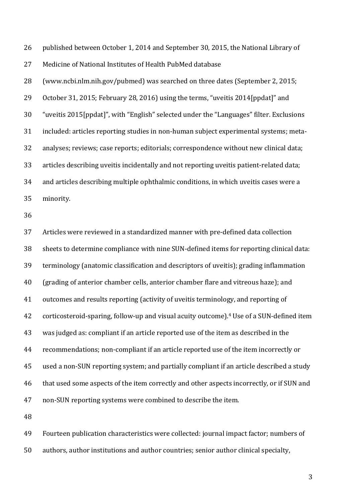26 published between October 1, 2014 and September 30, 2015, the National Library of 27 Medicine of National Institutes of Health PubMed database

28 (www.ncbi.nlm.nih.gov/pubmed) was searched on three dates (September 2, 2015; 29 October 31, 2015; February 28, 2016) using the terms, "uveitis 2014[ppdat]" and 30 "uveitis 2015[ppdat]", with "English" selected under the "Languages" filter. Exclusions 31 included: articles reporting studies in non-human subject experimental systems; meta-32 analyses; reviews; case reports; editorials; correspondence without new clinical data; 33 articles describing uveitis incidentally and not reporting uveitis patient-related data; 34 and articles describing multiple ophthalmic conditions, in which uveitis cases were a 35 minority. 

36

37 Articles were reviewed in a standardized manner with pre-defined data collection 38 sheets to determine compliance with nine SUN-defined items for reporting clinical data: 39 terminology (anatomic classification and descriptors of uveitis); grading inflammation 40 (grading of anterior chamber cells, anterior chamber flare and vitreous haze); and 41 outcomes and results reporting (activity of uveitis terminology, and reporting of 42 corticosteroid-sparing, follow-up and visual acuity outcome).<sup>4</sup> Use of a SUN-defined item 43 was judged as: compliant if an article reported use of the item as described in the 44 recommendations; non-compliant if an article reported use of the item incorrectly or 45 used a non-SUN reporting system; and partially compliant if an article described a study 46 that used some aspects of the item correctly and other aspects incorrectly, or if SUN and 47 non-SUN reporting systems were combined to describe the item.

48

49 Fourteen publication characteristics were collected: journal impact factor; numbers of 50 authors, author institutions and author countries; senior author clinical specialty,

3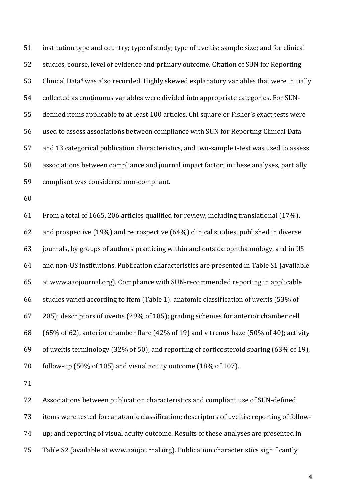51 institution type and country; type of study; type of uveitis; sample size; and for clinical 52 studies, course, level of evidence and primary outcome. Citation of SUN for Reporting 53 Clinical Data<sup>4</sup> was also recorded. Highly skewed explanatory variables that were initially 54 collected as continuous variables were divided into appropriate categories. For SUN-55 defined items applicable to at least 100 articles, Chi square or Fisher's exact tests were 56 used to assess associations between compliance with SUN for Reporting Clinical Data 57 and 13 categorical publication characteristics, and two-sample t-test was used to assess 58 associations between compliance and journal impact factor; in these analyses, partially 59 compliant was considered non-compliant.

60

61 From a total of 1665, 206 articles qualified for review, including translational  $(17%)$ , 62 and prospective  $(19\%)$  and retrospective  $(64\%)$  clinical studies, published in diverse 63 journals, by groups of authors practicing within and outside ophthalmology, and in US 64 and non-US institutions. Publication characteristics are presented in Table S1 (available 65 at www.aaojournal.org). Compliance with SUN-recommended reporting in applicable 66 studies varied according to item (Table 1): anatomic classification of uveitis  $(53\%$  of 67 205); descriptors of uveitis (29% of 185); grading schemes for anterior chamber cell 68 (65% of 62), anterior chamber flare  $(42%$  of 19) and vitreous haze  $(50%$  of 40); activity 69 of uveitis terminology (32% of 50); and reporting of corticosteroid sparing (63% of 19), 70 follow-up  $(50\% \text{ of } 105)$  and visual acuity outcome  $(18\% \text{ of } 107)$ .

71

72 Associations between publication characteristics and compliant use of SUN-defined 73 items were tested for: anatomic classification; descriptors of uveitis; reporting of follow-74 up; and reporting of visual acuity outcome. Results of these analyses are presented in 75 Table S2 (available at www.aaojournal.org). Publication characteristics significantly

4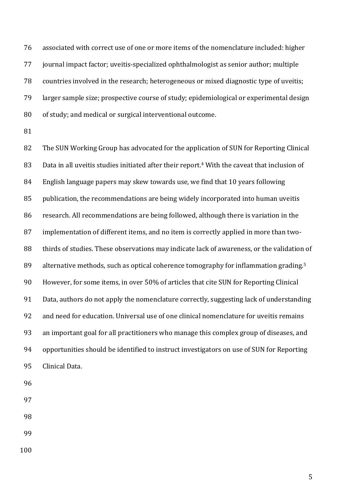76 associated with correct use of one or more items of the nomenclature included: higher 77 journal impact factor; uveitis-specialized ophthalmologist as senior author; multiple 78 countries involved in the research; heterogeneous or mixed diagnostic type of uveitis; 79 larger sample size; prospective course of study; epidemiological or experimental design 80 of study; and medical or surgical interventional outcome.

81

82 The SUN Working Group has advocated for the application of SUN for Reporting Clinical 83 Data in all uveitis studies initiated after their report.<sup>4</sup> With the caveat that inclusion of 84 English language papers may skew towards use, we find that 10 years following 85 publication, the recommendations are being widely incorporated into human uveitis 86 research. All recommendations are being followed, although there is variation in the 87 implementation of different items, and no item is correctly applied in more than two-88 thirds of studies. These observations may indicate lack of awareness, or the validation of 89 alternative methods, such as optical coherence tomography for inflammation grading.<sup>5</sup> 90 However, for some items, in over 50% of articles that cite SUN for Reporting Clinical 91 Data, authors do not apply the nomenclature correctly, suggesting lack of understanding 92 and need for education. Universal use of one clinical nomenclature for uveitis remains 93 an important goal for all practitioners who manage this complex group of diseases, and 94 opportunities should be identified to instruct investigators on use of SUN for Reporting 95 Clinical Data.

- 96
- 97
- 98
- 99
- 100